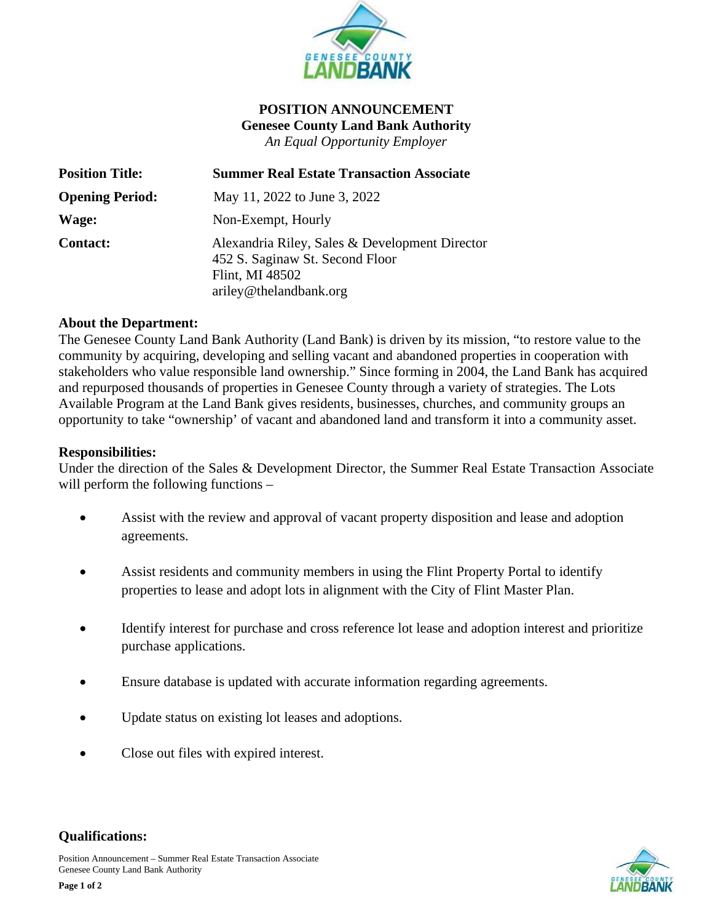

# **POSITION ANNOUNCEMENT Genesee County Land Bank Authority** *An Equal Opportunity Employer*

| <b>Position Title:</b> | <b>Summer Real Estate Transaction Associate</b>                                                                                |
|------------------------|--------------------------------------------------------------------------------------------------------------------------------|
| <b>Opening Period:</b> | May 11, 2022 to June 3, 2022                                                                                                   |
| Wage:                  | Non-Exempt, Hourly                                                                                                             |
| <b>Contact:</b>        | Alexandria Riley, Sales & Development Director<br>452 S. Saginaw St. Second Floor<br>Flint, MI 48502<br>ariley@thelandbank.org |

### **About the Department:**

The Genesee County Land Bank Authority (Land Bank) is driven by its mission, "to restore value to the community by acquiring, developing and selling vacant and abandoned properties in cooperation with stakeholders who value responsible land ownership." Since forming in 2004, the Land Bank has acquired and repurposed thousands of properties in Genesee County through a variety of strategies. The Lots Available Program at the Land Bank gives residents, businesses, churches, and community groups an opportunity to take "ownership' of vacant and abandoned land and transform it into a community asset.

### **Responsibilities:**

Under the direction of the Sales & Development Director, the Summer Real Estate Transaction Associate will perform the following functions –

- Assist with the review and approval of vacant property disposition and lease and adoption agreements.
- Assist residents and community members in using the Flint Property Portal to identify properties to lease and adopt lots in alignment with the City of Flint Master Plan.
- Identify interest for purchase and cross reference lot lease and adoption interest and prioritize purchase applications.
- Ensure database is updated with accurate information regarding agreements.
- Update status on existing lot leases and adoptions.
- Close out files with expired interest.



### **Qualifications:**

Position Announcement – Summer Real Estate Transaction Associate Genesee County Land Bank Authority